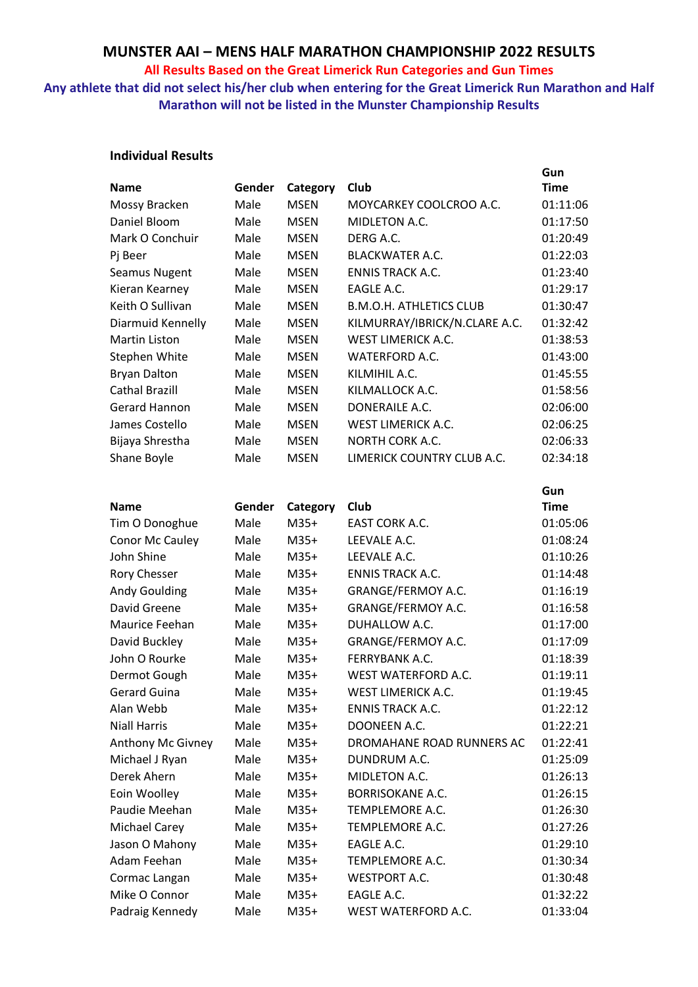#### **All Results Based on the Great Limerick Run Categories and Gun Times**

## **Any athlete that did not select his/her club when entering for the Great Limerick Run Marathon and Half Marathon will not be listed in the Munster Championship Results**

### **Individual Results**

|                       |        |             |                                | Gun         |
|-----------------------|--------|-------------|--------------------------------|-------------|
| <b>Name</b>           | Gender | Category    | Club                           | <b>Time</b> |
| Mossy Bracken         | Male   | <b>MSEN</b> | MOYCARKEY COOLCROO A.C.        | 01:11:06    |
| Daniel Bloom          | Male   | <b>MSEN</b> | MIDLETON A.C.                  | 01:17:50    |
| Mark O Conchuir       | Male   | <b>MSEN</b> | DERG A.C.                      | 01:20:49    |
| Pj Beer               | Male   | <b>MSEN</b> | <b>BLACKWATER A.C.</b>         | 01:22:03    |
| Seamus Nugent         | Male   | <b>MSEN</b> | <b>ENNIS TRACK A.C.</b>        | 01:23:40    |
| Kieran Kearney        | Male   | <b>MSEN</b> | EAGLE A.C.                     | 01:29:17    |
| Keith O Sullivan      | Male   | <b>MSEN</b> | <b>B.M.O.H. ATHLETICS CLUB</b> | 01:30:47    |
| Diarmuid Kennelly     | Male   | <b>MSEN</b> | KILMURRAY/IBRICK/N.CLARE A.C.  | 01:32:42    |
| <b>Martin Liston</b>  | Male   | <b>MSEN</b> | <b>WEST LIMERICK A.C.</b>      | 01:38:53    |
| Stephen White         | Male   | <b>MSEN</b> | <b>WATERFORD A.C.</b>          | 01:43:00    |
| <b>Bryan Dalton</b>   | Male   | <b>MSEN</b> | KILMIHIL A.C.                  | 01:45:55    |
| <b>Cathal Brazill</b> | Male   | <b>MSEN</b> | KILMALLOCK A.C.                | 01:58:56    |
| Gerard Hannon         | Male   | <b>MSEN</b> | DONERAILE A.C.                 | 02:06:00    |
| James Costello        | Male   | <b>MSEN</b> | <b>WEST LIMERICK A.C.</b>      | 02:06:25    |
| Bijaya Shrestha       | Male   | <b>MSEN</b> | <b>NORTH CORK A.C.</b>         | 02:06:33    |
| Shane Boyle           | Male   | <b>MSEN</b> | LIMERICK COUNTRY CLUB A.C.     | 02:34:18    |
|                       |        |             |                                |             |
|                       |        |             |                                | Gun         |
| <b>Name</b>           | Gender | Category    | Club                           | <b>Time</b> |
| Tim O Donoghue        | Male   | $M35+$      | EAST CORK A.C.                 | 01:05:06    |
| Conor Mc Cauley       | Male   | $M35+$      | LEEVALE A.C.                   | 01:08:24    |
| John Shine            | Male   | $M35+$      | LEEVALE A.C.                   | 01:10:26    |
| Rory Chesser          | Male   | $M35+$      | <b>ENNIS TRACK A.C.</b>        | 01:14:48    |
| <b>Andy Goulding</b>  | Male   | $M35+$      | GRANGE/FERMOY A.C.             | 01:16:19    |
| David Greene          | Male   | $M35+$      | GRANGE/FERMOY A.C.             | 01:16:58    |
| Maurice Feehan        | Male   | M35+        | DUHALLOW A.C.                  | 01:17:00    |
| David Buckley         | Male   | $M35+$      | GRANGE/FERMOY A.C.             | 01:17:09    |
| John O Rourke         | Male   | $M35+$      | <b>FERRYBANK A.C.</b>          | 01:18:39    |
| Dermot Gough          | Male   | $M35+$      | WEST WATERFORD A.C.            | 01:19:11    |
| Gerard Guina          | Male   | $M35+$      | WEST LIMERICK A.C.             | 01:19:45    |
| Alan Webb             | Male   | $M35+$      | <b>ENNIS TRACK A.C.</b>        | 01:22:12    |
| <b>Niall Harris</b>   | Male   | $M35+$      | DOONEEN A.C.                   | 01:22:21    |
| Anthony Mc Givney     | Male   | $M35+$      | DROMAHANE ROAD RUNNERS AC      | 01:22:41    |
| Michael J Ryan        | Male   | $M35+$      | DUNDRUM A.C.                   | 01:25:09    |
| Derek Ahern           | Male   | $M35+$      | MIDLETON A.C.                  | 01:26:13    |
| Eoin Woolley          | Male   | $M35+$      | <b>BORRISOKANE A.C.</b>        | 01:26:15    |
| Paudie Meehan         | Male   | $M35+$      | TEMPLEMORE A.C.                | 01:26:30    |
| Michael Carey         | Male   | $M35+$      | TEMPLEMORE A.C.                | 01:27:26    |
| Jason O Mahony        | Male   | $M35+$      | EAGLE A.C.                     | 01:29:10    |
| Adam Feehan           | Male   | $M35+$      | TEMPLEMORE A.C.                | 01:30:34    |
| Cormac Langan         | Male   | $M35+$      | <b>WESTPORT A.C.</b>           | 01:30:48    |
| Mike O Connor         | Male   | $M35+$      | EAGLE A.C.                     | 01:32:22    |
| Padraig Kennedy       | Male   | $M35+$      | WEST WATERFORD A.C.            | 01:33:04    |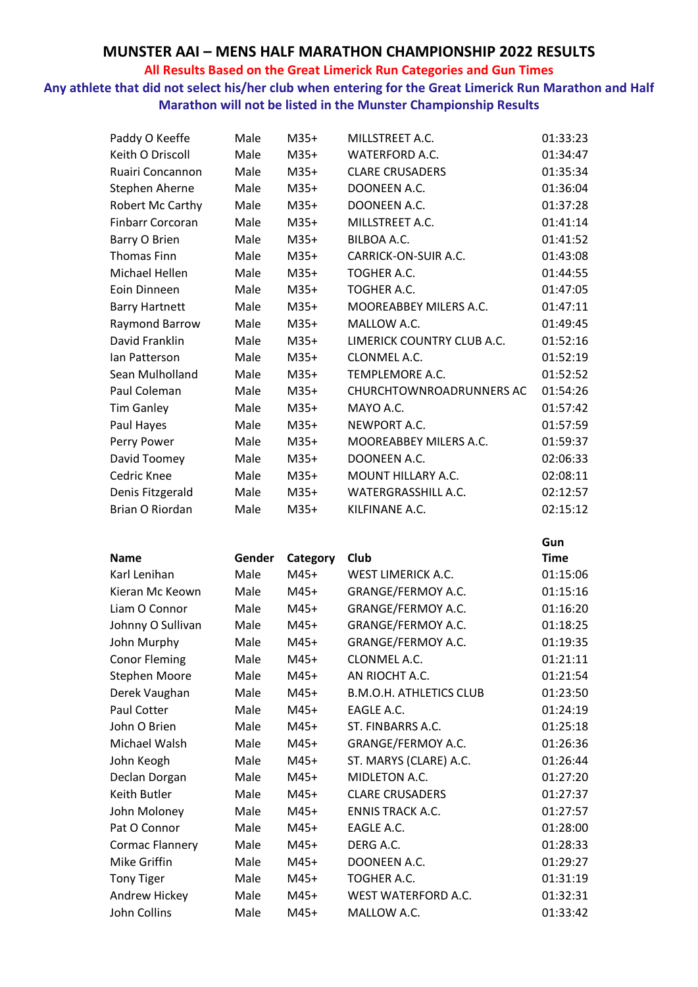### **All Results Based on the Great Limerick Run Categories and Gun Times**

**Any athlete that did not select his/her club when entering for the Great Limerick Run Marathon and Half Marathon will not be listed in the Munster Championship Results**

| Paddy O Keeffe          | Male   | $M35+$   | MILLSTREET A.C.                | 01:33:23    |
|-------------------------|--------|----------|--------------------------------|-------------|
| Keith O Driscoll        | Male   | $M35+$   | <b>WATERFORD A.C.</b>          | 01:34:47    |
| Ruairi Concannon        | Male   | $M35+$   | <b>CLARE CRUSADERS</b>         | 01:35:34    |
| Stephen Aherne          | Male   | $M35+$   | DOONEEN A.C.                   | 01:36:04    |
| Robert Mc Carthy        | Male   | $M35+$   | DOONEEN A.C.                   | 01:37:28    |
| <b>Finbarr Corcoran</b> | Male   | $M35+$   | MILLSTREET A.C.                | 01:41:14    |
| Barry O Brien           | Male   | $M35+$   | BILBOA A.C.                    | 01:41:52    |
| <b>Thomas Finn</b>      | Male   | $M35+$   | CARRICK-ON-SUIR A.C.           | 01:43:08    |
| <b>Michael Hellen</b>   | Male   | $M35+$   | TOGHER A.C.                    | 01:44:55    |
| Eoin Dinneen            | Male   | $M35+$   | TOGHER A.C.                    | 01:47:05    |
| <b>Barry Hartnett</b>   | Male   | $M35+$   | MOOREABBEY MILERS A.C.         | 01:47:11    |
| Raymond Barrow          | Male   | $M35+$   | MALLOW A.C.                    | 01:49:45    |
| David Franklin          | Male   | $M35+$   | LIMERICK COUNTRY CLUB A.C.     | 01:52:16    |
| lan Patterson           | Male   | $M35+$   | CLONMEL A.C.                   | 01:52:19    |
| Sean Mulholland         | Male   | $M35+$   | TEMPLEMORE A.C.                | 01:52:52    |
| Paul Coleman            | Male   | $M35+$   | CHURCHTOWNROADRUNNERS AC       | 01:54:26    |
| <b>Tim Ganley</b>       | Male   | $M35+$   | MAYO A.C.                      | 01:57:42    |
| Paul Hayes              | Male   | $M35+$   | NEWPORT A.C.                   | 01:57:59    |
| Perry Power             | Male   | $M35+$   | MOOREABBEY MILERS A.C.         | 01:59:37    |
| David Toomey            | Male   | $M35+$   | DOONEEN A.C.                   | 02:06:33    |
| Cedric Knee             | Male   | $M35+$   | MOUNT HILLARY A.C.             | 02:08:11    |
| Denis Fitzgerald        | Male   | $M35+$   | WATERGRASSHILL A.C.            | 02:12:57    |
| Brian O Riordan         | Male   | $M35+$   | KILFINANE A.C.                 | 02:15:12    |
|                         |        |          |                                |             |
|                         |        |          |                                |             |
|                         |        |          |                                | Gun         |
| <b>Name</b>             | Gender | Category | Club                           | <b>Time</b> |
| Karl Lenihan            | Male   | $M45+$   | <b>WEST LIMERICK A.C.</b>      | 01:15:06    |
| Kieran Mc Keown         | Male   | $M45+$   | GRANGE/FERMOY A.C.             | 01:15:16    |
| Liam O Connor           | Male   | $M45+$   | GRANGE/FERMOY A.C.             | 01:16:20    |
| Johnny O Sullivan       | Male   | M45+     | GRANGE/FERMOY A.C.             | 01:18:25    |
| John Murphy             | Male   | $M45+$   | GRANGE/FERMOY A.C.             | 01:19:35    |
| <b>Conor Fleming</b>    | Male   | M45+     | CLONMEL A.C.                   | 01:21:11    |
| Stephen Moore           | Male   | $M45+$   | AN RIOCHT A.C.                 | 01:21:54    |
| Derek Vaughan           | Male   | M45+     | <b>B.M.O.H. ATHLETICS CLUB</b> | 01:23:50    |
| Paul Cotter             | Male   | $M45+$   | EAGLE A.C.                     | 01:24:19    |
| John O Brien            | Male   | M45+     | ST. FINBARRS A.C.              | 01:25:18    |
| Michael Walsh           | Male   | $M45+$   | GRANGE/FERMOY A.C.             | 01:26:36    |
| John Keogh              | Male   | $M45+$   | ST. MARYS (CLARE) A.C.         | 01:26:44    |
| Declan Dorgan           | Male   | M45+     | MIDLETON A.C.                  | 01:27:20    |
| Keith Butler            | Male   | M45+     | <b>CLARE CRUSADERS</b>         | 01:27:37    |
| John Moloney            | Male   | M45+     | <b>ENNIS TRACK A.C.</b>        | 01:27:57    |
| Pat O Connor            | Male   | $M45+$   | EAGLE A.C.                     | 01:28:00    |
| Cormac Flannery         | Male   | M45+     | DERG A.C.                      | 01:28:33    |
| Mike Griffin            | Male   | M45+     | DOONEEN A.C.                   | 01:29:27    |
| <b>Tony Tiger</b>       | Male   | M45+     | TOGHER A.C.                    | 01:31:19    |

John Collins Male M45+ MALLOW A.C. 01:33:42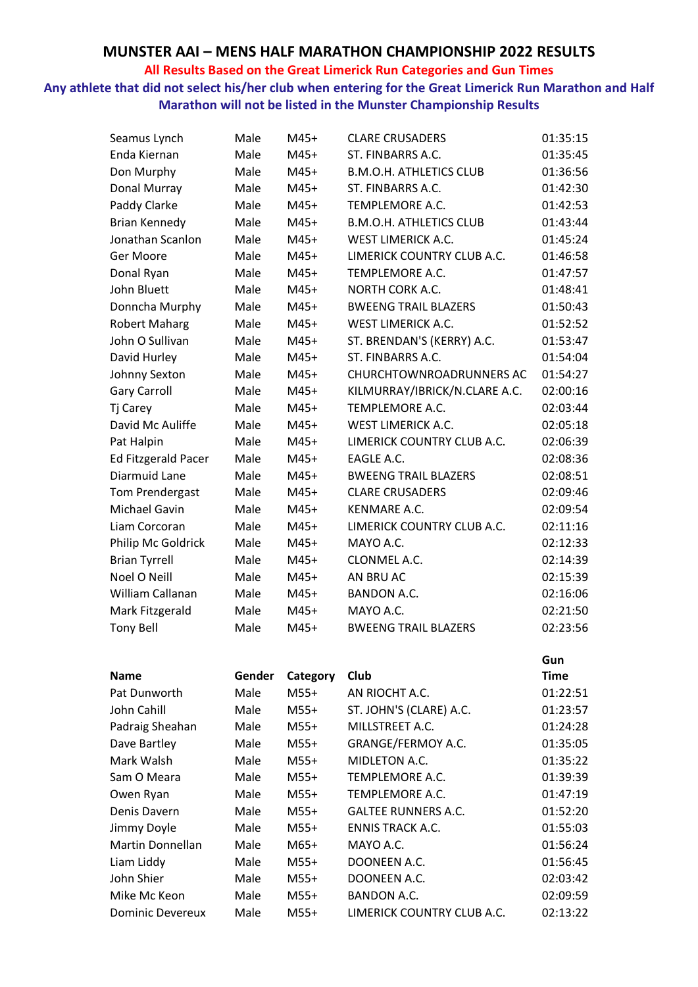### **All Results Based on the Great Limerick Run Categories and Gun Times**

**Any athlete that did not select his/her club when entering for the Great Limerick Run Marathon and Half Marathon will not be listed in the Munster Championship Results**

| Seamus Lynch               | Male   | M45+     | <b>CLARE CRUSADERS</b>         | 01:35:15    |
|----------------------------|--------|----------|--------------------------------|-------------|
| Enda Kiernan               | Male   | $M45+$   | ST. FINBARRS A.C.              | 01:35:45    |
| Don Murphy                 | Male   | $M45+$   | <b>B.M.O.H. ATHLETICS CLUB</b> | 01:36:56    |
| Donal Murray               | Male   | $M45+$   | ST. FINBARRS A.C.              | 01:42:30    |
| Paddy Clarke               | Male   | $M45+$   | TEMPLEMORE A.C.                | 01:42:53    |
| <b>Brian Kennedy</b>       | Male   | M45+     | <b>B.M.O.H. ATHLETICS CLUB</b> | 01:43:44    |
| Jonathan Scanlon           | Male   | $M45+$   | <b>WEST LIMERICK A.C.</b>      | 01:45:24    |
| Ger Moore                  | Male   | $M45+$   | LIMERICK COUNTRY CLUB A.C.     | 01:46:58    |
| Donal Ryan                 | Male   | $M45+$   | TEMPLEMORE A.C.                | 01:47:57    |
| John Bluett                | Male   | $M45+$   | NORTH CORK A.C.                | 01:48:41    |
| Donncha Murphy             | Male   | M45+     | <b>BWEENG TRAIL BLAZERS</b>    | 01:50:43    |
| <b>Robert Maharg</b>       | Male   | $M45+$   | <b>WEST LIMERICK A.C.</b>      | 01:52:52    |
| John O Sullivan            | Male   | $M45+$   | ST. BRENDAN'S (KERRY) A.C.     | 01:53:47    |
| David Hurley               | Male   | $M45+$   | ST. FINBARRS A.C.              | 01:54:04    |
| Johnny Sexton              | Male   | $M45+$   | CHURCHTOWNROADRUNNERS AC       | 01:54:27    |
| <b>Gary Carroll</b>        | Male   | M45+     | KILMURRAY/IBRICK/N.CLARE A.C.  | 02:00:16    |
| Tj Carey                   | Male   | M45+     | <b>TEMPLEMORE A.C.</b>         | 02:03:44    |
| David Mc Auliffe           | Male   | $M45+$   | <b>WEST LIMERICK A.C.</b>      | 02:05:18    |
| Pat Halpin                 | Male   | $M45+$   | LIMERICK COUNTRY CLUB A.C.     | 02:06:39    |
| <b>Ed Fitzgerald Pacer</b> | Male   | $M45+$   | EAGLE A.C.                     | 02:08:36    |
| Diarmuid Lane              | Male   | M45+     | <b>BWEENG TRAIL BLAZERS</b>    | 02:08:51    |
| Tom Prendergast            | Male   | $M45+$   | <b>CLARE CRUSADERS</b>         | 02:09:46    |
| Michael Gavin              | Male   | $M45+$   | KENMARE A.C.                   | 02:09:54    |
| Liam Corcoran              | Male   | M45+     | LIMERICK COUNTRY CLUB A.C.     | 02:11:16    |
| Philip Mc Goldrick         | Male   | $M45+$   | MAYO A.C.                      | 02:12:33    |
| <b>Brian Tyrrell</b>       | Male   | M45+     | CLONMEL A.C.                   | 02:14:39    |
| Noel O Neill               | Male   | $M45+$   | AN BRU AC                      | 02:15:39    |
| William Callanan           | Male   | $M45+$   | <b>BANDON A.C.</b>             | 02:16:06    |
| Mark Fitzgerald            | Male   | M45+     | MAYO A.C.                      | 02:21:50    |
| <b>Tony Bell</b>           | Male   | M45+     | <b>BWEENG TRAIL BLAZERS</b>    | 02:23:56    |
|                            |        |          |                                |             |
|                            |        |          |                                | Gun         |
| <b>Name</b>                | Gender | Category | Club                           | <b>Time</b> |
| Pat Dunworth               | Male   | $M55+$   | AN RIOCHT A.C.                 | 01:22:51    |
| John Cahill                | Male   | $M55+$   | ST. JOHN'S (CLARE) A.C.        | 01:23:57    |
| Padraig Sheahan            | Male   | $M55+$   | MILLSTREET A.C.                | 01:24:28    |
| Dave Bartley               | Male   | $M55+$   | GRANGE/FERMOY A.C.             | 01:35:05    |
| Mark Walsh                 | Male   | $M55+$   | MIDLETON A.C.                  | 01:35:22    |
| Sam O Meara                | Male   | $M55+$   | TEMPLEMORE A.C.                | 01:39:39    |
| Owen Ryan                  | Male   | $M55+$   | TEMPLEMORE A.C.                | 01:47:19    |
| Denis Davern               | Male   | $M55+$   | <b>GALTEE RUNNERS A.C.</b>     | 01:52:20    |
| Jimmy Doyle                | Male   | $M55+$   | <b>ENNIS TRACK A.C.</b>        | 01:55:03    |
| Martin Donnellan           | Male   | $M65+$   | MAYO A.C.                      | 01:56:24    |
| Liam Liddy                 | Male   | $M55+$   | DOONEEN A.C.                   | 01:56:45    |
| John Shier                 | Male   | $M55+$   | DOONEEN A.C.                   | 02:03:42    |
| Mike Mc Keon               | Male   | $M55+$   | <b>BANDON A.C.</b>             | 02:09:59    |
| <b>Dominic Devereux</b>    | Male   | $M55+$   | LIMERICK COUNTRY CLUB A.C.     | 02:13:22    |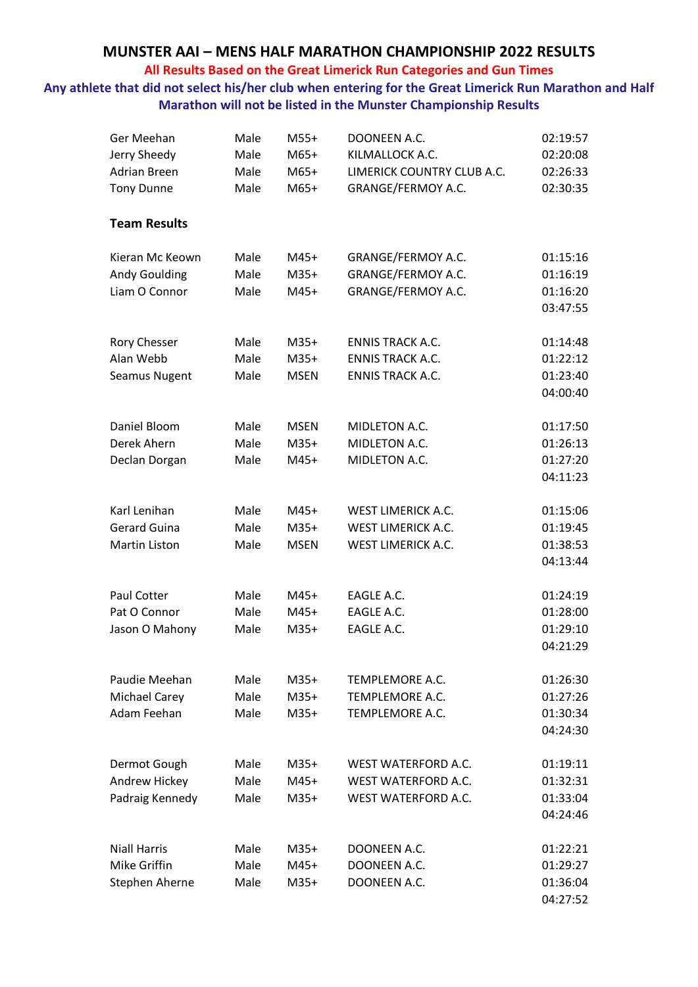#### **All Results Based on the Great Limerick Run Categories and Gun Times**

## **Any athlete that did not select his/her club when entering for the Great Limerick Run Marathon and Half Marathon will not be listed in the Munster Championship Results**

| Ger Meehan           | Male | $M55+$      | DOONEEN A.C.               | 02:19:57 |
|----------------------|------|-------------|----------------------------|----------|
| Jerry Sheedy         | Male | $M65+$      | KILMALLOCK A.C.            | 02:20:08 |
| <b>Adrian Breen</b>  | Male | $M65+$      | LIMERICK COUNTRY CLUB A.C. | 02:26:33 |
| <b>Tony Dunne</b>    | Male | M65+        | GRANGE/FERMOY A.C.         | 02:30:35 |
|                      |      |             |                            |          |
| <b>Team Results</b>  |      |             |                            |          |
| Kieran Mc Keown      | Male | M45+        | GRANGE/FERMOY A.C.         | 01:15:16 |
| <b>Andy Goulding</b> | Male | $M35+$      | GRANGE/FERMOY A.C.         | 01:16:19 |
| Liam O Connor        | Male | $M45+$      | GRANGE/FERMOY A.C.         | 01:16:20 |
|                      |      |             |                            | 03:47:55 |
| Rory Chesser         | Male | $M35+$      | <b>ENNIS TRACK A.C.</b>    | 01:14:48 |
| Alan Webb            | Male | $M35+$      | <b>ENNIS TRACK A.C.</b>    | 01:22:12 |
| Seamus Nugent        | Male | <b>MSEN</b> | <b>ENNIS TRACK A.C.</b>    | 01:23:40 |
|                      |      |             |                            | 04:00:40 |
| Daniel Bloom         | Male | <b>MSEN</b> | MIDLETON A.C.              | 01:17:50 |
| Derek Ahern          | Male | $M35+$      | MIDLETON A.C.              | 01:26:13 |
| Declan Dorgan        | Male | $M45+$      | MIDLETON A.C.              | 01:27:20 |
|                      |      |             |                            | 04:11:23 |
| Karl Lenihan         | Male | M45+        | WEST LIMERICK A.C.         | 01:15:06 |
| <b>Gerard Guina</b>  | Male | $M35+$      | WEST LIMERICK A.C.         | 01:19:45 |
| <b>Martin Liston</b> | Male | <b>MSEN</b> | WEST LIMERICK A.C.         | 01:38:53 |
|                      |      |             |                            | 04:13:44 |
| Paul Cotter          | Male | $M45+$      | EAGLE A.C.                 | 01:24:19 |
| Pat O Connor         | Male | $M45+$      | EAGLE A.C.                 | 01:28:00 |
| Jason O Mahony       | Male | $M35+$      | EAGLE A.C.                 | 01:29:10 |
|                      |      |             |                            | 04:21:29 |
| Paudie Meehan        | Male | $M35+$      | TEMPLEMORE A.C.            | 01:26:30 |
| <b>Michael Carey</b> | Male | $M35+$      | TEMPLEMORE A.C.            | 01:27:26 |
| Adam Feehan          | Male | $M35+$      | TEMPLEMORE A.C.            | 01:30:34 |
|                      |      |             |                            | 04:24:30 |
| Dermot Gough         | Male | $M35+$      | WEST WATERFORD A.C.        | 01:19:11 |
| Andrew Hickey        | Male | $M45+$      | WEST WATERFORD A.C.        | 01:32:31 |
| Padraig Kennedy      | Male | $M35+$      | WEST WATERFORD A.C.        | 01:33:04 |
|                      |      |             |                            | 04:24:46 |
| <b>Niall Harris</b>  | Male | $M35+$      | DOONEEN A.C.               | 01:22:21 |
| Mike Griffin         | Male | $M45+$      | DOONEEN A.C.               | 01:29:27 |
| Stephen Aherne       | Male | $M35+$      | DOONEEN A.C.               | 01:36:04 |
|                      |      |             |                            | 04:27:52 |